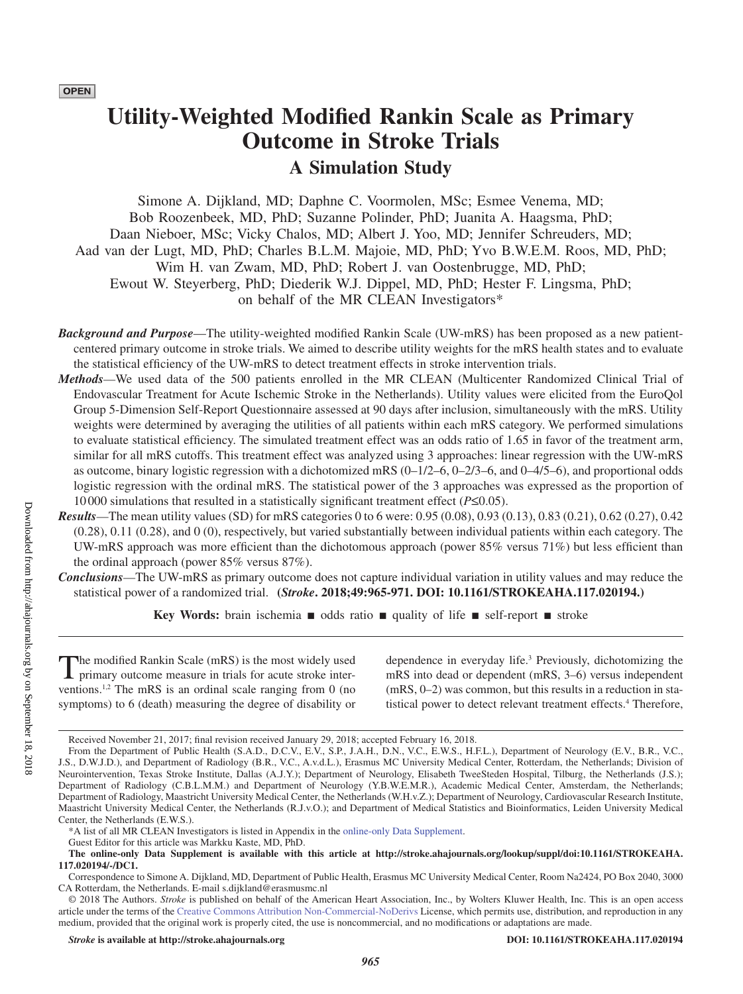Downloaded from http://ahajournals.org by on September 18, 2018

Downloaded from http://ahajournals.org by on September 18, 2018

# **Utility-Weighted Modified Rankin Scale as Primary Outcome in Stroke Trials A Simulation Study**

Simone A. Dijkland, MD; Daphne C. Voormolen, MSc; Esmee Venema, MD; Bob Roozenbeek, MD, PhD; Suzanne Polinder, PhD; Juanita A. Haagsma, PhD; Daan Nieboer, MSc; Vicky Chalos, MD; Albert J. Yoo, MD; Jennifer Schreuders, MD; Aad van der Lugt, MD, PhD; Charles B.L.M. Majoie, MD, PhD; Yvo B.W.E.M. Roos, MD, PhD; Wim H. van Zwam, MD, PhD; Robert J. van Oostenbrugge, MD, PhD; Ewout W. Steyerberg, PhD; Diederik W.J. Dippel, MD, PhD; Hester F. Lingsma, PhD; on behalf of the MR CLEAN Investigators\*

- *Methods*—We used data of the 500 patients enrolled in the MR CLEAN (Multicenter Randomized Clinical Trial of Endovascular Treatment for Acute Ischemic Stroke in the Netherlands). Utility values were elicited from the EuroQol Group 5-Dimension Self-Report Questionnaire assessed at 90 days after inclusion, simultaneously with the mRS. Utility weights were determined by averaging the utilities of all patients within each mRS category. We performed simulations to evaluate statistical efficiency. The simulated treatment effect was an odds ratio of 1.65 in favor of the treatment arm, similar for all mRS cutoffs. This treatment effect was analyzed using 3 approaches: linear regression with the UW-mRS as outcome, binary logistic regression with a dichotomized mRS  $(0-1/2-6, 0-2/3-6,$  and  $0-4/5-6)$ , and proportional odds logistic regression with the ordinal mRS. The statistical power of the 3 approaches was expressed as the proportion of 10 000 simulations that resulted in a statistically significant treatment effect (*P*≤0.05).
- *Results*—The mean utility values (SD) for mRS categories 0 to 6 were: 0.95 (0.08), 0.93 (0.13), 0.83 (0.21), 0.62 (0.27), 0.42 (0.28), 0.11 (0.28), and 0 (0), respectively, but varied substantially between individual patients within each category. The UW-mRS approach was more efficient than the dichotomous approach (power 85% versus 71%) but less efficient than the ordinal approach (power 85% versus 87%).
- *Conclusions*—The UW-mRS as primary outcome does not capture individual variation in utility values and may reduce the statistical power of a randomized trial. **(***Stroke***. 2018;49:965-971. DOI: 10.1161/STROKEAHA.117.020194.)**

**Key Words:** brain ischemia ■ odds ratio ■ quality of life ■ self-report ■ stroke

The modified Rankin Scale (mRS) is the most widely used primary outcome measure in trials for acute stroke interventions.1,2 The mRS is an ordinal scale ranging from 0 (no symptoms) to 6 (death) measuring the degree of disability or

dependence in everyday life.3 Previously, dichotomizing the mRS into dead or dependent (mRS, 3–6) versus independent (mRS, 0–2) was common, but this results in a reduction in statistical power to detect relevant treatment effects.<sup>4</sup> Therefore,

*Background and Purpose*—The utility-weighted modified Rankin Scale (UW-mRS) has been proposed as a new patientcentered primary outcome in stroke trials. We aimed to describe utility weights for the mRS health states and to evaluate the statistical efficiency of the UW-mRS to detect treatment effects in stroke intervention trials.

Received November 21, 2017; final revision received January 29, 2018; accepted February 16, 2018.

From the Department of Public Health (S.A.D., D.C.V., E.V., S.P., J.A.H., D.N., V.C., E.W.S., H.F.L.), Department of Neurology (E.V., B.R., V.C., J.S., D.W.J.D.), and Department of Radiology (B.R., V.C., A.v.d.L.), Erasmus MC University Medical Center, Rotterdam, the Netherlands; Division of Neurointervention, Texas Stroke Institute, Dallas (A.J.Y.); Department of Neurology, Elisabeth TweeSteden Hospital, Tilburg, the Netherlands (J.S.); Department of Radiology (C.B.L.M.M.) and Department of Neurology (Y.B.W.E.M.R.), Academic Medical Center, Amsterdam, the Netherlands; Department of Radiology, Maastricht University Medical Center, the Netherlands (W.H.v.Z.); Department of Neurology, Cardiovascular Research Institute, Maastricht University Medical Center, the Netherlands (R.J.v.O.); and Department of Medical Statistics and Bioinformatics, Leiden University Medical Center, the Netherlands  $(EWS)$ .

<sup>\*</sup>A list of all MR CLEAN Investigators is listed in Appendix in the online-only Data Supplement.

Guest Editor for this article was Markku Kaste, MD, PhD.

**The online-only Data Supplement is available with this article at http://stroke.ahajournals.org/lookup/suppl/doi:10.1161/STROKEAHA. 117.020194/-/DC1.**

Correspondence to Simone A. Dijkland, MD, Department of Public Health, Erasmus MC University Medical Center, Room Na2424, PO Box 2040, 3000 CA Rotterdam, the Netherlands. E-mail [s.dijkland@erasmusmc.nl](mailto:s.dijkland@erasmusmc.nl)

<sup>© 2018</sup> The Authors. *Stroke* is published on behalf of the American Heart Association, Inc., by Wolters Kluwer Health, Inc. This is an open access article under the terms of the Creative Commons Attribution Non-Commercial-NoDerivs License, which permits use, distribution, and reproduction in any medium, provided that the original work is properly cited, the use is noncommercial, and no modifications or adaptations are made.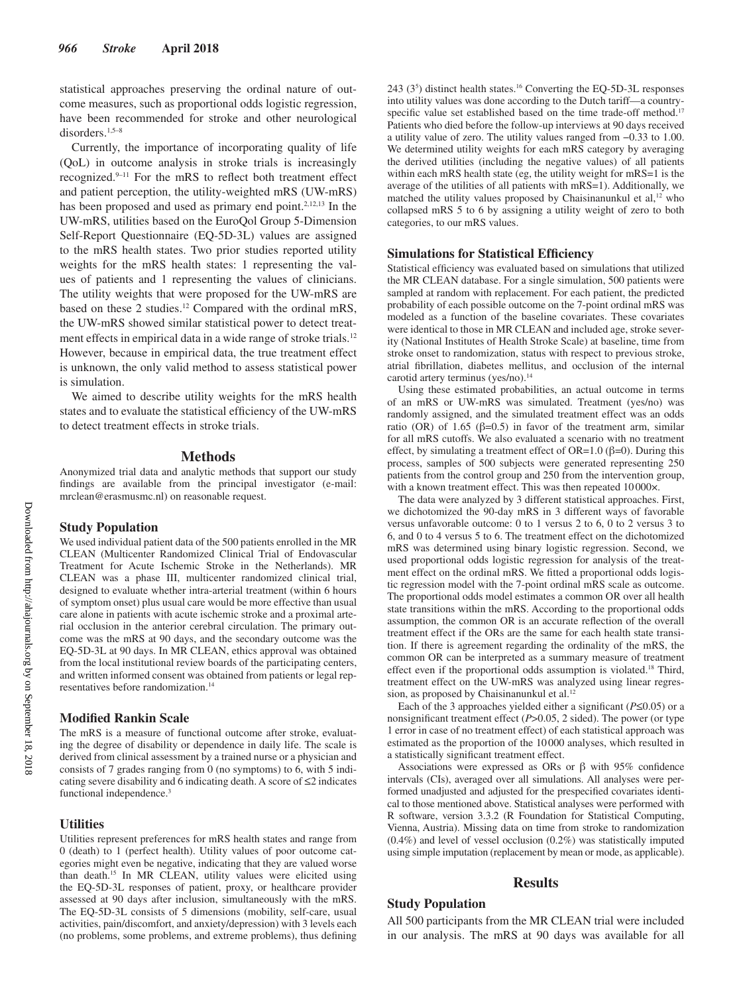statistical approaches preserving the ordinal nature of outcome measures, such as proportional odds logistic regression, have been recommended for stroke and other neurological disorders.<sup>1,5–8</sup>

Currently, the importance of incorporating quality of life (QoL) in outcome analysis in stroke trials is increasingly recognized.9–11 For the mRS to reflect both treatment effect and patient perception, the utility-weighted mRS (UW-mRS) has been proposed and used as primary end point.<sup>2,12,13</sup> In the UW-mRS, utilities based on the EuroQol Group 5-Dimension Self-Report Questionnaire (EQ-5D-3L) values are assigned to the mRS health states. Two prior studies reported utility weights for the mRS health states: 1 representing the values of patients and 1 representing the values of clinicians. The utility weights that were proposed for the UW-mRS are based on these 2 studies.<sup>12</sup> Compared with the ordinal mRS, the UW-mRS showed similar statistical power to detect treatment effects in empirical data in a wide range of stroke trials.<sup>12</sup> However, because in empirical data, the true treatment effect is unknown, the only valid method to assess statistical power is simulation.

We aimed to describe utility weights for the mRS health states and to evaluate the statistical efficiency of the UW-mRS to detect treatment effects in stroke trials.

#### **Methods**

Anonymized trial data and analytic methods that support our study findings are available from the principal investigator (e-mail: mrclean@erasmusmc.nl) on reasonable request.

## **Study Population**

We used individual patient data of the 500 patients enrolled in the MR CLEAN (Multicenter Randomized Clinical Trial of Endovascular Treatment for Acute Ischemic Stroke in the Netherlands). MR CLEAN was a phase III, multicenter randomized clinical trial, designed to evaluate whether intra-arterial treatment (within 6 hours of symptom onset) plus usual care would be more effective than usual care alone in patients with acute ischemic stroke and a proximal arterial occlusion in the anterior cerebral circulation. The primary outcome was the mRS at 90 days, and the secondary outcome was the EQ-5D-3L at 90 days. In MR CLEAN, ethics approval was obtained from the local institutional review boards of the participating centers, and written informed consent was obtained from patients or legal representatives before randomization<sup>14</sup>

#### **Modified Rankin Scale**

The mRS is a measure of functional outcome after stroke, evaluating the degree of disability or dependence in daily life. The scale is derived from clinical assessment by a trained nurse or a physician and consists of 7 grades ranging from 0 (no symptoms) to 6, with 5 indicating severe disability and 6 indicating death. A score of ≤2 indicates functional independence.<sup>3</sup>

## **Utilities**

Utilities represent preferences for mRS health states and range from 0 (death) to 1 (perfect health). Utility values of poor outcome categories might even be negative, indicating that they are valued worse than death.15 In MR CLEAN, utility values were elicited using the EQ-5D-3L responses of patient, proxy, or healthcare provider assessed at 90 days after inclusion, simultaneously with the mRS. The EQ-5D-3L consists of 5 dimensions (mobility, self-care, usual activities, pain/discomfort, and anxiety/depression) with 3 levels each (no problems, some problems, and extreme problems), thus defining

 $243$  ( $3<sup>5</sup>$ ) distinct health states.<sup>16</sup> Converting the EQ-5D-3L responses into utility values was done according to the Dutch tariff—a countryspecific value set established based on the time trade-off method.<sup>17</sup> Patients who died before the follow-up interviews at 90 days received a utility value of zero. The utility values ranged from −0.33 to 1.00. We determined utility weights for each mRS category by averaging the derived utilities (including the negative values) of all patients within each mRS health state (eg, the utility weight for mRS=1 is the average of the utilities of all patients with mRS=1). Additionally, we matched the utility values proposed by Chaisinanunkul et al,<sup>12</sup> who collapsed mRS 5 to 6 by assigning a utility weight of zero to both categories, to our mRS values.

## **Simulations for Statistical Efficiency**

Statistical efficiency was evaluated based on simulations that utilized the MR CLEAN database. For a single simulation, 500 patients were sampled at random with replacement. For each patient, the predicted probability of each possible outcome on the 7-point ordinal mRS was modeled as a function of the baseline covariates. These covariates were identical to those in MR CLEAN and included age, stroke severity (National Institutes of Health Stroke Scale) at baseline, time from stroke onset to randomization, status with respect to previous stroke, atrial fibrillation, diabetes mellitus, and occlusion of the internal carotid artery terminus (yes/no).<sup>14</sup>

Using these estimated probabilities, an actual outcome in terms of an mRS or UW-mRS was simulated. Treatment (yes/no) was randomly assigned, and the simulated treatment effect was an odds ratio (OR) of 1.65 ( $\beta$ =0.5) in favor of the treatment arm, similar for all mRS cutoffs. We also evaluated a scenario with no treatment effect, by simulating a treatment effect of OR=1.0 ( $\beta$ =0). During this process, samples of 500 subjects were generated representing 250 patients from the control group and 250 from the intervention group, with a known treatment effect. This was then repeated 10000×.

The data were analyzed by 3 different statistical approaches. First, we dichotomized the 90-day mRS in 3 different ways of favorable versus unfavorable outcome: 0 to 1 versus 2 to 6, 0 to 2 versus 3 to 6, and 0 to 4 versus 5 to 6. The treatment effect on the dichotomized mRS was determined using binary logistic regression. Second, we used proportional odds logistic regression for analysis of the treatment effect on the ordinal mRS. We fitted a proportional odds logistic regression model with the 7-point ordinal mRS scale as outcome. The proportional odds model estimates a common OR over all health state transitions within the mRS. According to the proportional odds assumption, the common OR is an accurate reflection of the overall treatment effect if the ORs are the same for each health state transition. If there is agreement regarding the ordinality of the mRS, the common OR can be interpreted as a summary measure of treatment effect even if the proportional odds assumption is violated.18 Third, treatment effect on the UW-mRS was analyzed using linear regression, as proposed by Chaisinanunkul et al.<sup>12</sup>

Each of the 3 approaches yielded either a significant (*P*≤0.05) or a nonsignificant treatment effect (*P*>0.05, 2 sided). The power (or type 1 error in case of no treatment effect) of each statistical approach was estimated as the proportion of the 10 000 analyses, which resulted in a statistically significant treatment effect.

Associations were expressed as ORs or β with 95% confidence intervals (CIs), averaged over all simulations. All analyses were performed unadjusted and adjusted for the prespecified covariates identical to those mentioned above. Statistical analyses were performed with R software, version 3.3.2 (R Foundation for Statistical Computing, Vienna, Austria). Missing data on time from stroke to randomization (0.4%) and level of vessel occlusion (0.2%) was statistically imputed using simple imputation (replacement by mean or mode, as applicable).

## **Results**

# **Study Population**

All 500 participants from the MR CLEAN trial were included in our analysis. The mRS at 90 days was available for all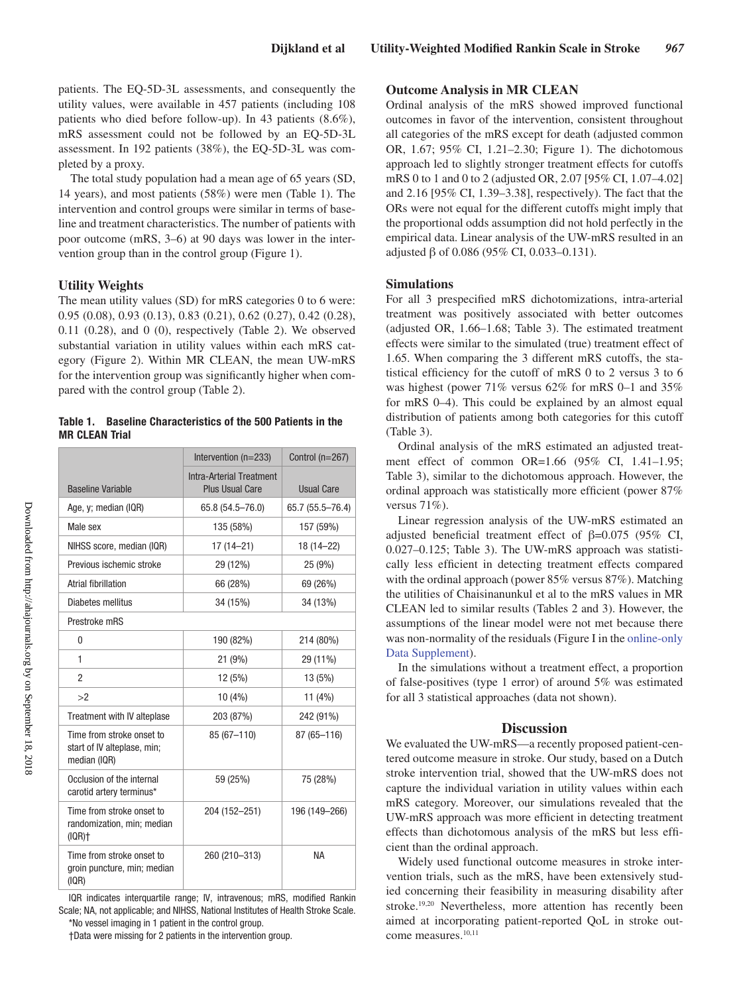patients. The EQ-5D-3L assessments, and consequently the utility values, were available in 457 patients (including 108 patients who died before follow-up). In 43 patients (8.6%), mRS assessment could not be followed by an EQ-5D-3L assessment. In 192 patients (38%), the EQ-5D-3L was completed by a proxy.

The total study population had a mean age of 65 years (SD, 14 years), and most patients (58%) were men (Table 1). The intervention and control groups were similar in terms of baseline and treatment characteristics. The number of patients with poor outcome (mRS, 3–6) at 90 days was lower in the intervention group than in the control group (Figure 1).

## **Utility Weights**

The mean utility values (SD) for mRS categories 0 to 6 were: 0.95 (0.08), 0.93 (0.13), 0.83 (0.21), 0.62 (0.27), 0.42 (0.28), 0.11 (0.28), and 0 (0), respectively (Table 2). We observed substantial variation in utility values within each mRS category (Figure 2). Within MR CLEAN, the mean UW-mRS for the intervention group was significantly higher when compared with the control group (Table 2).

## **Table 1. Baseline Characteristics of the 500 Patients in the MR CLEAN Trial**

|                                                                                 | Intervention $(n=233)$                                    | Control (n=267)   |  |  |
|---------------------------------------------------------------------------------|-----------------------------------------------------------|-------------------|--|--|
| <b>Baseline Variable</b>                                                        | <b>Intra-Arterial Treatment</b><br><b>Plus Usual Care</b> | <b>Usual Care</b> |  |  |
| Age, y; median (IQR)                                                            | 65.8 (54.5-76.0)                                          | 65.7 (55.5-76.4)  |  |  |
| Male sex                                                                        | 135 (58%)                                                 | 157 (59%)         |  |  |
| NIHSS score, median (IQR)                                                       | 17 (14-21)                                                | 18 (14-22)        |  |  |
| Previous ischemic stroke                                                        | 29 (12%)                                                  | 25 (9%)           |  |  |
| Atrial fibrillation                                                             | 66 (28%)                                                  | 69 (26%)          |  |  |
| Diabetes mellitus                                                               | 34 (15%)                                                  | 34 (13%)          |  |  |
| Prestroke mRS                                                                   |                                                           |                   |  |  |
| $\mathbf{0}$                                                                    | 190 (82%)                                                 | 214 (80%)         |  |  |
| 1                                                                               | 21(9%)                                                    | 29 (11%)          |  |  |
| 2                                                                               | 12 (5%)                                                   | 13 (5%)           |  |  |
| >2                                                                              | 10 (4%)                                                   | 11 (4%)           |  |  |
| Treatment with IV alteplase                                                     | 203 (87%)                                                 | 242 (91%)         |  |  |
| Time from stroke onset to<br>start of IV alteplase, min;<br>median (IQR)        | 85 (67-110)                                               | 87 (65 - 116)     |  |  |
| Occlusion of the internal<br>carotid artery terminus*                           | 59 (25%)                                                  | 75 (28%)          |  |  |
| Time from stroke onset to<br>randomization, min; median<br>$(IQR)$ <sup>+</sup> | 204 (152-251)                                             | 196 (149-266)     |  |  |
| Time from stroke onset to<br>groin puncture, min; median<br>(IQR)               | 260 (210-313)                                             | <b>NA</b>         |  |  |

IQR indicates interquartile range; IV, intravenous; mRS, modified Rankin Scale; NA, not applicable; and NIHSS, National Institutes of Health Stroke Scale. \*No vessel imaging in 1 patient in the control group.

†Data were missing for 2 patients in the intervention group.

## **Outcome Analysis in MR CLEAN**

Ordinal analysis of the mRS showed improved functional outcomes in favor of the intervention, consistent throughout all categories of the mRS except for death (adjusted common OR, 1.67; 95% CI, 1.21–2.30; Figure 1). The dichotomous approach led to slightly stronger treatment effects for cutoffs mRS 0 to 1 and 0 to 2 (adjusted OR, 2.07 [95% CI, 1.07–4.02] and 2.16 [95% CI, 1.39–3.38], respectively). The fact that the ORs were not equal for the different cutoffs might imply that the proportional odds assumption did not hold perfectly in the empirical data. Linear analysis of the UW-mRS resulted in an adjusted β of 0.086 (95% CI, 0.033–0.131).

## **Simulations**

For all 3 prespecified mRS dichotomizations, intra-arterial treatment was positively associated with better outcomes (adjusted OR, 1.66–1.68; Table 3). The estimated treatment effects were similar to the simulated (true) treatment effect of 1.65. When comparing the 3 different mRS cutoffs, the statistical efficiency for the cutoff of mRS 0 to 2 versus 3 to 6 was highest (power 71% versus 62% for mRS 0-1 and 35% for mRS 0–4). This could be explained by an almost equal distribution of patients among both categories for this cutoff (Table 3).

Ordinal analysis of the mRS estimated an adjusted treatment effect of common OR=1.66 (95% CI, 1.41–1.95; Table 3), similar to the dichotomous approach. However, the ordinal approach was statistically more efficient (power 87% versus  $71\%$ ).

Linear regression analysis of the UW-mRS estimated an adjusted beneficial treatment effect of  $β=0.075$  (95% CI, 0.027–0.125; Table 3). The UW-mRS approach was statistically less efficient in detecting treatment effects compared with the ordinal approach (power 85% versus 87%). Matching the utilities of Chaisinanunkul et al to the mRS values in MR CLEAN led to similar results (Tables 2 and 3). However, the assumptions of the linear model were not met because there was non-normality of the residuals (Figure I in the online-only Data Supplement).

In the simulations without a treatment effect, a proportion of false-positives (type 1 error) of around 5% was estimated for all 3 statistical approaches (data not shown).

## **Discussion**

We evaluated the UW-mRS—a recently proposed patient-centered outcome measure in stroke. Our study, based on a Dutch stroke intervention trial, showed that the UW-mRS does not capture the individual variation in utility values within each mRS category. Moreover, our simulations revealed that the UW-mRS approach was more efficient in detecting treatment effects than dichotomous analysis of the mRS but less efficient than the ordinal approach.

Widely used functional outcome measures in stroke intervention trials, such as the mRS, have been extensively studied concerning their feasibility in measuring disability after stroke.<sup>19,20</sup> Nevertheless, more attention has recently been aimed at incorporating patient-reported QoL in stroke outcome measures.<sup>10,11</sup>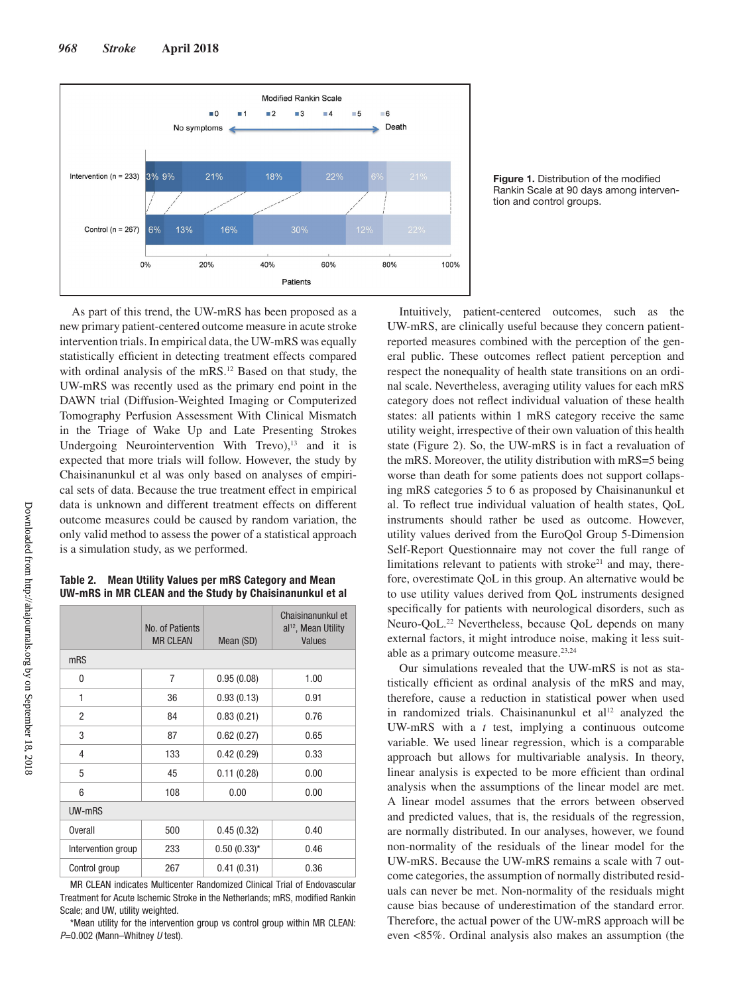

**Figure 1.** Distribution of the modified Rankin Scale at 90 days among intervention and control groups.

As part of this trend, the UW-mRS has been proposed as a new primary patient-centered outcome measure in acute stroke intervention trials. In empirical data, the UW-mRS was equally statistically efficient in detecting treatment effects compared with ordinal analysis of the mRS.<sup>12</sup> Based on that study, the UW-mRS was recently used as the primary end point in the DAWN trial (Diffusion-Weighted Imaging or Computerized Tomography Perfusion Assessment With Clinical Mismatch in the Triage of Wake Up and Late Presenting Strokes Undergoing Neurointervention With Trevo), $13$  and it is expected that more trials will follow. However, the study by Chaisinanunkul et al was only based on analyses of empirical sets of data. Because the true treatment effect in empirical data is unknown and different treatment effects on different outcome measures could be caused by random variation, the only valid method to assess the power of a statistical approach is a simulation study, as we performed.

**Table 2. Mean Utility Values per mRS Category and Mean UW-mRS in MR CLEAN and the Study by Chaisinanunkul et al**

|                    | No. of Patients<br><b>MR CLEAN</b> | Mean (SD)      | Chaisinanunkul et<br>al <sup>12</sup> , Mean Utility<br>Values |  |  |  |  |  |
|--------------------|------------------------------------|----------------|----------------------------------------------------------------|--|--|--|--|--|
| mRS                |                                    |                |                                                                |  |  |  |  |  |
| 0                  | 7                                  | 0.95(0.08)     | 1.00                                                           |  |  |  |  |  |
| 1                  | 36                                 | 0.93(0.13)     | 0.91                                                           |  |  |  |  |  |
| $\overline{2}$     | 84                                 | 0.83(0.21)     | 0.76                                                           |  |  |  |  |  |
| 3                  | 87                                 | 0.62(0.27)     | 0.65                                                           |  |  |  |  |  |
| 4                  | 133                                | 0.42(0.29)     | 0.33                                                           |  |  |  |  |  |
| 5                  | 45                                 | 0.11(0.28)     | 0.00                                                           |  |  |  |  |  |
| 6                  | 108                                | 0.00           | 0.00                                                           |  |  |  |  |  |
| UW-mRS             |                                    |                |                                                                |  |  |  |  |  |
| <b>Overall</b>     | 500                                | 0.45(0.32)     | 0.40                                                           |  |  |  |  |  |
| Intervention group | 233                                | $0.50(0.33)$ * | 0.46                                                           |  |  |  |  |  |
| Control group      | 267                                | 0.41(0.31)     | 0.36                                                           |  |  |  |  |  |

MR CLEAN indicates Multicenter Randomized Clinical Trial of Endovascular Treatment for Acute Ischemic Stroke in the Netherlands; mRS, modified Rankin Scale; and UW, utility weighted.

\*Mean utility for the intervention group vs control group within MR CLEAN: *P*=0.002 (Mann–Whitney *U* test).

Intuitively, patient-centered outcomes, such as the UW-mRS, are clinically useful because they concern patientreported measures combined with the perception of the general public. These outcomes reflect patient perception and respect the nonequality of health state transitions on an ordinal scale. Nevertheless, averaging utility values for each mRS category does not reflect individual valuation of these health states: all patients within 1 mRS category receive the same utility weight, irrespective of their own valuation of this health state (Figure 2). So, the UW-mRS is in fact a revaluation of the mRS. Moreover, the utility distribution with mRS=5 being worse than death for some patients does not support collapsing mRS categories 5 to 6 as proposed by Chaisinanunkul et al. To reflect true individual valuation of health states, QoL instruments should rather be used as outcome. However, utility values derived from the EuroQol Group 5-Dimension Self-Report Questionnaire may not cover the full range of limitations relevant to patients with stroke<sup>21</sup> and may, therefore, overestimate QoL in this group. An alternative would be to use utility values derived from QoL instruments designed specifically for patients with neurological disorders, such as Neuro-QoL.22 Nevertheless, because QoL depends on many external factors, it might introduce noise, making it less suitable as a primary outcome measure.<sup>23,24</sup>

Our simulations revealed that the UW-mRS is not as statistically efficient as ordinal analysis of the mRS and may, therefore, cause a reduction in statistical power when used in randomized trials. Chaisinanunkul et al<sup>12</sup> analyzed the UW-mRS with a *t* test, implying a continuous outcome variable. We used linear regression, which is a comparable approach but allows for multivariable analysis. In theory, linear analysis is expected to be more efficient than ordinal analysis when the assumptions of the linear model are met. A linear model assumes that the errors between observed and predicted values, that is, the residuals of the regression, are normally distributed. In our analyses, however, we found non-normality of the residuals of the linear model for the UW-mRS. Because the UW-mRS remains a scale with 7 outcome categories, the assumption of normally distributed residuals can never be met. Non-normality of the residuals might cause bias because of underestimation of the standard error. Therefore, the actual power of the UW-mRS approach will be even <85%. Ordinal analysis also makes an assumption (the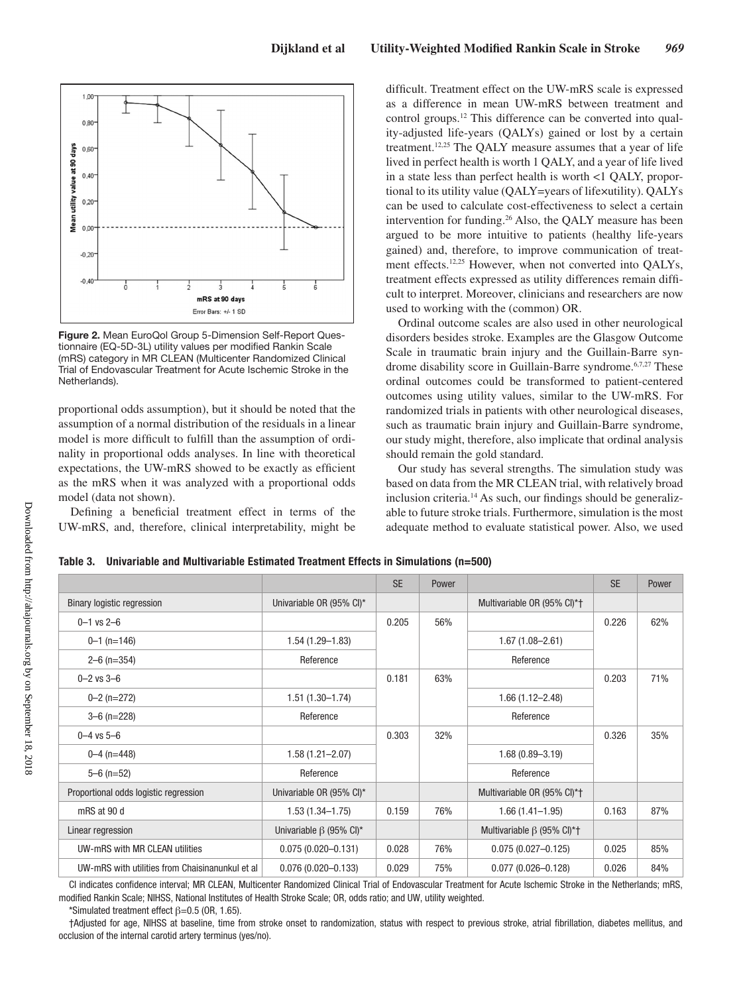

**Figure 2.** Mean EuroQol Group 5-Dimension Self-Report Questionnaire (EQ-5D-3L) utility values per modified Rankin Scale (mRS) category in MR CLEAN (Multicenter Randomized Clinical Trial of Endovascular Treatment for Acute Ischemic Stroke in the Netherlands).

proportional odds assumption), but it should be noted that the assumption of a normal distribution of the residuals in a linear model is more difficult to fulfill than the assumption of ordinality in proportional odds analyses. In line with theoretical expectations, the UW-mRS showed to be exactly as efficient as the mRS when it was analyzed with a proportional odds model (data not shown).

Defining a beneficial treatment effect in terms of the UW-mRS, and, therefore, clinical interpretability, might be

difficult. Treatment effect on the UW-mRS scale is expressed as a difference in mean UW-mRS between treatment and control groups.12 This difference can be converted into quality-adjusted life-years (QALYs) gained or lost by a certain treatment.<sup>12,25</sup> The QALY measure assumes that a year of life lived in perfect health is worth 1 QALY, and a year of life lived in a state less than perfect health is worth <1 QALY, proportional to its utility value (QALY=years of life×utility). QALYs can be used to calculate cost-effectiveness to select a certain intervention for funding.<sup>26</sup> Also, the QALY measure has been argued to be more intuitive to patients (healthy life-years gained) and, therefore, to improve communication of treatment effects.<sup>12,25</sup> However, when not converted into QALYs, treatment effects expressed as utility differences remain difficult to interpret. Moreover, clinicians and researchers are now used to working with the (common) OR.

Ordinal outcome scales are also used in other neurological disorders besides stroke. Examples are the Glasgow Outcome Scale in traumatic brain injury and the Guillain-Barre syndrome disability score in Guillain-Barre syndrome.<sup>6,7,27</sup> These ordinal outcomes could be transformed to patient-centered outcomes using utility values, similar to the UW-mRS. For randomized trials in patients with other neurological diseases, such as traumatic brain injury and Guillain-Barre syndrome, our study might, therefore, also implicate that ordinal analysis should remain the gold standard.

Our study has several strengths. The simulation study was based on data from the MR CLEAN trial, with relatively broad inclusion criteria.14 As such, our findings should be generalizable to future stroke trials. Furthermore, simulation is the most adequate method to evaluate statistical power. Also, we used

|                                                 |                               | <b>SE</b> | Power |                                  | <b>SE</b> | Power |
|-------------------------------------------------|-------------------------------|-----------|-------|----------------------------------|-----------|-------|
| <b>Binary logistic regression</b>               | Univariable OR (95% Cl)*      |           |       | Multivariable OR (95% CI)*+      |           |       |
| $0 - 1$ vs $2 - 6$                              |                               | 0.205     | 56%   |                                  | 0.226     | 62%   |
| $0 - 1$ (n=146)                                 | $1.54(1.29 - 1.83)$           |           |       | $1.67(1.08 - 2.61)$              |           |       |
| $2 - 6$ (n=354)                                 | Reference                     |           |       | Reference                        |           |       |
| $0 - 2$ vs $3 - 6$                              |                               | 0.181     | 63%   |                                  | 0.203     | 71%   |
| $0 - 2$ (n=272)                                 | $1.51(1.30 - 1.74)$           |           |       | $1.66(1.12 - 2.48)$              |           |       |
| $3-6$ (n=228)                                   | Reference                     |           |       | Reference                        |           |       |
| $0 - 4$ vs $5 - 6$                              |                               | 0.303     | 32%   |                                  | 0.326     | 35%   |
| $0 - 4$ (n=448)                                 | $1.58(1.21 - 2.07)$           |           |       | $1.68(0.89 - 3.19)$              |           |       |
| $5 - 6$ (n=52)                                  | Reference                     |           |       | Reference                        |           |       |
| Proportional odds logistic regression           | Univariable OR (95% CI)*      |           |       | Multivariable OR (95% CI)*+      |           |       |
| mRS at 90 d                                     | $1.53(1.34 - 1.75)$           | 0.159     | 76%   | $1.66(1.41 - 1.95)$              | 0.163     | 87%   |
| Linear regression                               | Univariable $\beta$ (95% CI)* |           |       | Multivariable $\beta$ (95% Cl)*† |           |       |
| UW-mRS with MR CLEAN utilities                  | $0.075(0.020 - 0.131)$        | 0.028     | 76%   | $0.075(0.027 - 0.125)$           | 0.025     | 85%   |
| UW-mRS with utilities from Chaisinanunkul et al | $0.076(0.020 - 0.133)$        | 0.029     | 75%   | $0.077(0.026 - 0.128)$           | 0.026     | 84%   |

**Table 3. Univariable and Multivariable Estimated Treatment Effects in Simulations (n=500)**

CI indicates confidence interval; MR CLEAN, Multicenter Randomized Clinical Trial of Endovascular Treatment for Acute Ischemic Stroke in the Netherlands; mRS, modified Rankin Scale; NIHSS, National Institutes of Health Stroke Scale; OR, odds ratio; and UW, utility weighted.

\*Simulated treatment effect β=0.5 (OR, 1.65).

†Adjusted for age, NIHSS at baseline, time from stroke onset to randomization, status with respect to previous stroke, atrial fibrillation, diabetes mellitus, and occlusion of the internal carotid artery terminus (yes/no).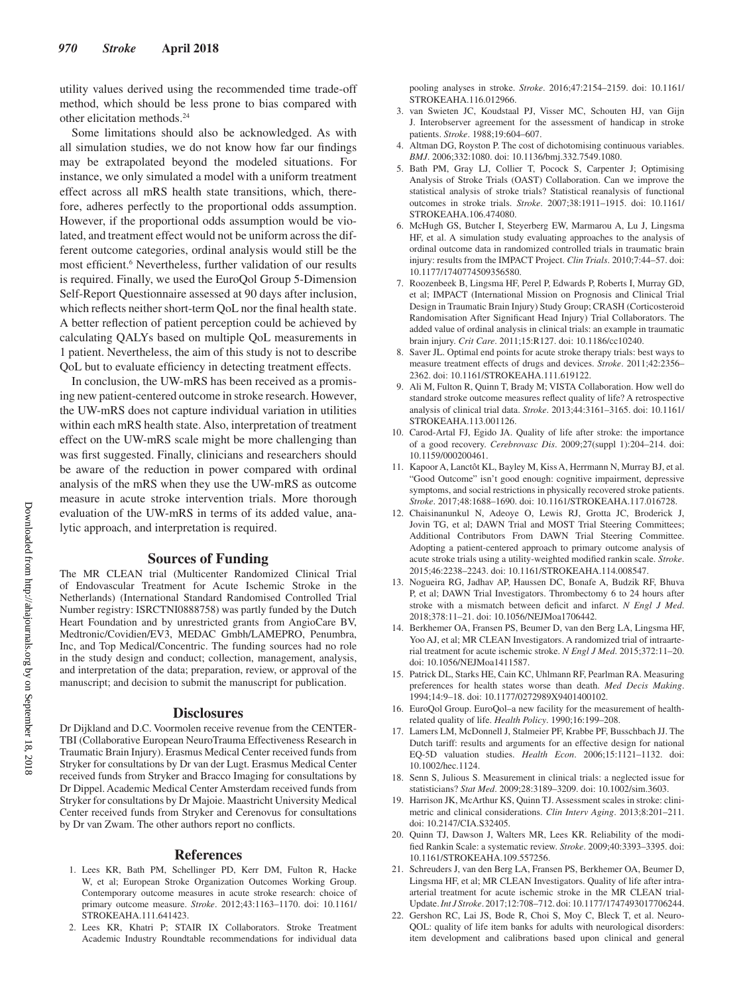utility values derived using the recommended time trade-off method, which should be less prone to bias compared with other elicitation methods.24

Some limitations should also be acknowledged. As with all simulation studies, we do not know how far our findings may be extrapolated beyond the modeled situations. For instance, we only simulated a model with a uniform treatment effect across all mRS health state transitions, which, therefore, adheres perfectly to the proportional odds assumption. However, if the proportional odds assumption would be violated, and treatment effect would not be uniform across the different outcome categories, ordinal analysis would still be the most efficient.6 Nevertheless, further validation of our results is required. Finally, we used the EuroQol Group 5-Dimension Self-Report Questionnaire assessed at 90 days after inclusion, which reflects neither short-term QoL nor the final health state. A better reflection of patient perception could be achieved by calculating QALYs based on multiple QoL measurements in 1 patient. Nevertheless, the aim of this study is not to describe QoL but to evaluate efficiency in detecting treatment effects.

In conclusion, the UW-mRS has been received as a promising new patient-centered outcome in stroke research. However, the UW-mRS does not capture individual variation in utilities within each mRS health state. Also, interpretation of treatment effect on the UW-mRS scale might be more challenging than was first suggested. Finally, clinicians and researchers should be aware of the reduction in power compared with ordinal analysis of the mRS when they use the UW-mRS as outcome measure in acute stroke intervention trials. More thorough evaluation of the UW-mRS in terms of its added value, analytic approach, and interpretation is required.

## **Sources of Funding**

The MR CLEAN trial (Multicenter Randomized Clinical Trial of Endovascular Treatment for Acute Ischemic Stroke in the Netherlands) (International Standard Randomised Controlled Trial Number registry: ISRCTNI0888758) was partly funded by the Dutch Heart Foundation and by unrestricted grants from AngioCare BV, Medtronic/Covidien/EV3, MEDAC Gmbh/LAMEPRO, Penumbra, Inc, and Top Medical/Concentric. The funding sources had no role in the study design and conduct; collection, management, analysis, and interpretation of the data; preparation, review, or approval of the manuscript; and decision to submit the manuscript for publication.

#### **Disclosures**

Dr Dijkland and D.C. Voormolen receive revenue from the CENTER-TBI (Collaborative European NeuroTrauma Effectiveness Research in Traumatic Brain Injury). Erasmus Medical Center received funds from Stryker for consultations by Dr van der Lugt. Erasmus Medical Center received funds from Stryker and Bracco Imaging for consultations by Dr Dippel. Academic Medical Center Amsterdam received funds from Stryker for consultations by Dr Majoie. Maastricht University Medical Center received funds from Stryker and Cerenovus for consultations by Dr van Zwam. The other authors report no conflicts.

#### **References**

- 1. Lees KR, Bath PM, Schellinger PD, Kerr DM, Fulton R, Hacke W, et al; European Stroke Organization Outcomes Working Group. Contemporary outcome measures in acute stroke research: choice of primary outcome measure. *Stroke*. 2012;43:1163–1170. doi: 10.1161/ STROKEAHA.111.641423.
- 2. Lees KR, Khatri P; STAIR IX Collaborators. Stroke Treatment Academic Industry Roundtable recommendations for individual data

pooling analyses in stroke. *Stroke*. 2016;47:2154–2159. doi: 10.1161/ STROKEAHA.116.012966.

- 3. van Swieten JC, Koudstaal PJ, Visser MC, Schouten HJ, van Gijn J. Interobserver agreement for the assessment of handicap in stroke patients. *Stroke*. 1988;19:604–607.
- 4. Altman DG, Royston P. The cost of dichotomising continuous variables. *BMJ*. 2006;332:1080. doi: 10.1136/bmj.332.7549.1080.
- 5. Bath PM, Gray LJ, Collier T, Pocock S, Carpenter J; Optimising Analysis of Stroke Trials (OAST) Collaboration. Can we improve the statistical analysis of stroke trials? Statistical reanalysis of functional outcomes in stroke trials. *Stroke*. 2007;38:1911–1915. doi: 10.1161/ STROKEAHA.106.474080.
- 6. McHugh GS, Butcher I, Steyerberg EW, Marmarou A, Lu J, Lingsma HF, et al. A simulation study evaluating approaches to the analysis of ordinal outcome data in randomized controlled trials in traumatic brain injury: results from the IMPACT Project. *Clin Trials*. 2010;7:44–57. doi: 10.1177/1740774509356580.
- 7. Roozenbeek B, Lingsma HF, Perel P, Edwards P, Roberts I, Murray GD, et al; IMPACT (International Mission on Prognosis and Clinical Trial Design in Traumatic Brain Injury) Study Group; CRASH (Corticosteroid Randomisation After Significant Head Injury) Trial Collaborators. The added value of ordinal analysis in clinical trials: an example in traumatic brain injury. *Crit Care*. 2011;15:R127. doi: 10.1186/cc10240.
- 8. Saver JL. Optimal end points for acute stroke therapy trials: best ways to measure treatment effects of drugs and devices. *Stroke*. 2011;42:2356– 2362. doi: 10.1161/STROKEAHA.111.619122.
- 9. Ali M, Fulton R, Quinn T, Brady M; VISTA Collaboration. How well do standard stroke outcome measures reflect quality of life? A retrospective analysis of clinical trial data. *Stroke*. 2013;44:3161–3165. doi: 10.1161/ STROKEAHA.113.001126.
- 10. Carod-Artal FJ, Egido JA. Quality of life after stroke: the importance of a good recovery. *Cerebrovasc Dis*. 2009;27(suppl 1):204–214. doi: 10.1159/000200461.
- 11. Kapoor A, Lanctôt KL, Bayley M, Kiss A, Herrmann N, Murray BJ, et al. "Good Outcome" isn't good enough: cognitive impairment, depressive symptoms, and social restrictions in physically recovered stroke patients. *Stroke*. 2017;48:1688–1690. doi: 10.1161/STROKEAHA.117.016728.
- 12. Chaisinanunkul N, Adeoye O, Lewis RJ, Grotta JC, Broderick J, Jovin TG, et al; DAWN Trial and MOST Trial Steering Committees; Additional Contributors From DAWN Trial Steering Committee. Adopting a patient-centered approach to primary outcome analysis of acute stroke trials using a utility-weighted modified rankin scale. *Stroke*. 2015;46:2238–2243. doi: 10.1161/STROKEAHA.114.008547.
- 13. Nogueira RG, Jadhav AP, Haussen DC, Bonafe A, Budzik RF, Bhuva P, et al; DAWN Trial Investigators. Thrombectomy 6 to 24 hours after stroke with a mismatch between deficit and infarct. *N Engl J Med*. 2018;378:11–21. doi: 10.1056/NEJMoa1706442.
- 14. Berkhemer OA, Fransen PS, Beumer D, van den Berg LA, Lingsma HF, Yoo AJ, et al; MR CLEAN Investigators. A randomized trial of intraarterial treatment for acute ischemic stroke. *N Engl J Med*. 2015;372:11–20. doi: 10.1056/NEJMoa1411587.
- 15. Patrick DL, Starks HE, Cain KC, Uhlmann RF, Pearlman RA. Measuring preferences for health states worse than death. *Med Decis Making*. 1994;14:9–18. doi: 10.1177/0272989X9401400102.
- 16. EuroQol Group. EuroQol–a new facility for the measurement of healthrelated quality of life. *Health Policy*. 1990;16:199–208.
- 17. Lamers LM, McDonnell J, Stalmeier PF, Krabbe PF, Busschbach JJ. The Dutch tariff: results and arguments for an effective design for national EQ-5D valuation studies. *Health Econ*. 2006;15:1121–1132. doi: 10.1002/hec.1124.
- 18. Senn S, Julious S. Measurement in clinical trials: a neglected issue for statisticians? *Stat Med*. 2009;28:3189–3209. doi: 10.1002/sim.3603.
- 19. Harrison JK, McArthur KS, Quinn TJ. Assessment scales in stroke: clinimetric and clinical considerations. *Clin Interv Aging*. 2013;8:201–211. doi: 10.2147/CIA.S32405.
- 20. Quinn TJ, Dawson J, Walters MR, Lees KR. Reliability of the modified Rankin Scale: a systematic review. *Stroke*. 2009;40:3393–3395. doi: 10.1161/STROKEAHA.109.557256.
- 21. Schreuders J, van den Berg LA, Fransen PS, Berkhemer OA, Beumer D, Lingsma HF, et al; MR CLEAN Investigators. Quality of life after intraarterial treatment for acute ischemic stroke in the MR CLEAN trial-Update. *Int J Stroke*. 2017;12:708–712. doi: 10.1177/1747493017706244.
- 22. Gershon RC, Lai JS, Bode R, Choi S, Moy C, Bleck T, et al. Neuro-QOL: quality of life item banks for adults with neurological disorders: item development and calibrations based upon clinical and general